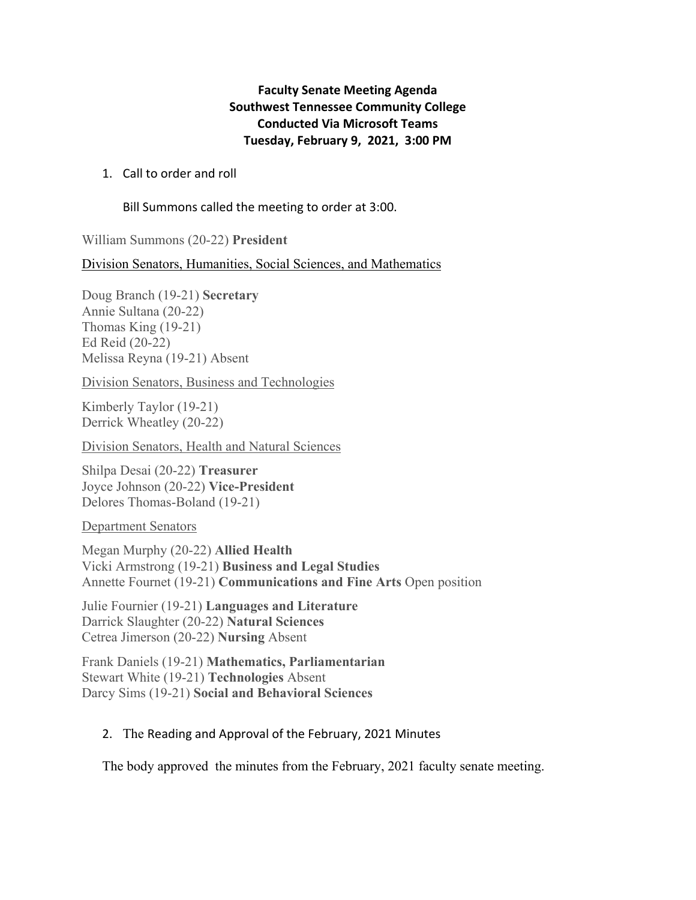## **Faculty Senate Meeting Agenda Southwest Tennessee Community College Conducted Via Microsoft Teams Tuesday, February 9, 2021, 3:00 PM**

## 1. Call to order and roll

Bill Summons called the meeting to order at 3:00.

William Summons (20-22) **President** 

Division Senators, Humanities, Social Sciences, and Mathematics

Doug Branch (19-21) **Secretary** Annie Sultana (20-22) Thomas King (19-21) Ed Reid (20-22) Melissa Reyna (19-21) Absent

Division Senators, Business and Technologies

Kimberly Taylor (19-21) Derrick Wheatley (20-22)

Division Senators, Health and Natural Sciences

Shilpa Desai (20-22) **Treasurer** Joyce Johnson (20-22) **Vice-President** Delores Thomas-Boland (19-21)

Department Senators

Megan Murphy (20-22) **Allied Health**  Vicki Armstrong (19-21) **Business and Legal Studies** Annette Fournet (19-21) **Communications and Fine Arts** Open position

Julie Fournier (19-21) **Languages and Literature** Darrick Slaughter (20-22) **Natural Sciences**  Cetrea Jimerson (20-22) **Nursing** Absent

Frank Daniels (19-21) **Mathematics, Parliamentarian**  Stewart White (19-21) **Technologies** Absent Darcy Sims (19-21) **Social and Behavioral Sciences**

## 2. The Reading and Approval of the February, 2021 Minutes

The body approved the minutes from the February, 2021 faculty senate meeting.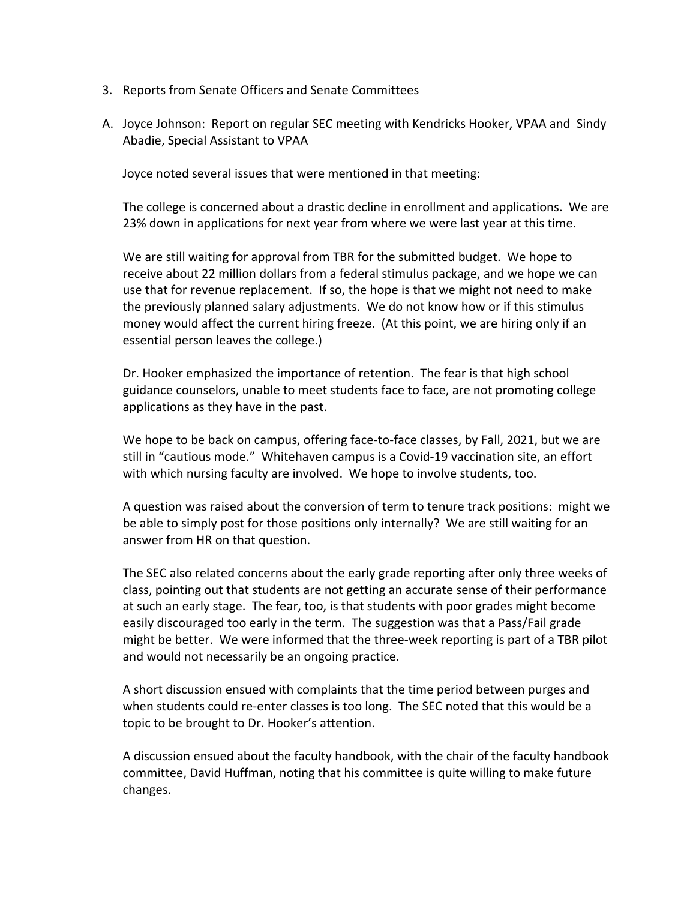- 3. Reports from Senate Officers and Senate Committees
- A. Joyce Johnson: Report on regular SEC meeting with Kendricks Hooker, VPAA and Sindy Abadie, Special Assistant to VPAA

Joyce noted several issues that were mentioned in that meeting:

The college is concerned about a drastic decline in enrollment and applications. We are 23% down in applications for next year from where we were last year at this time.

We are still waiting for approval from TBR for the submitted budget. We hope to receive about 22 million dollars from a federal stimulus package, and we hope we can use that for revenue replacement. If so, the hope is that we might not need to make the previously planned salary adjustments. We do not know how or if this stimulus money would affect the current hiring freeze. (At this point, we are hiring only if an essential person leaves the college.)

Dr. Hooker emphasized the importance of retention. The fear is that high school guidance counselors, unable to meet students face to face, are not promoting college applications as they have in the past.

We hope to be back on campus, offering face-to-face classes, by Fall, 2021, but we are still in "cautious mode." Whitehaven campus is a Covid-19 vaccination site, an effort with which nursing faculty are involved. We hope to involve students, too.

A question was raised about the conversion of term to tenure track positions: might we be able to simply post for those positions only internally? We are still waiting for an answer from HR on that question.

The SEC also related concerns about the early grade reporting after only three weeks of class, pointing out that students are not getting an accurate sense of their performance at such an early stage. The fear, too, is that students with poor grades might become easily discouraged too early in the term. The suggestion was that a Pass/Fail grade might be better. We were informed that the three-week reporting is part of a TBR pilot and would not necessarily be an ongoing practice.

A short discussion ensued with complaints that the time period between purges and when students could re-enter classes is too long. The SEC noted that this would be a topic to be brought to Dr. Hooker's attention.

A discussion ensued about the faculty handbook, with the chair of the faculty handbook committee, David Huffman, noting that his committee is quite willing to make future changes.